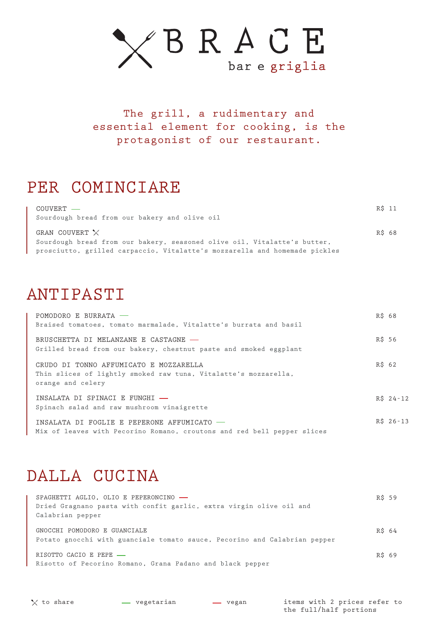

The grill, a rudimentary and essential element for cooking, is the protagonist of our restaurant.

### PER COMINCIARE

| COUVERT —<br>Sourdough bread from our bakery and olive oil                 | R\$ 11 |
|----------------------------------------------------------------------------|--------|
| GRAN COUVERT $\times$                                                      | R\$ 68 |
| Sourdough bread from our bakery, seasoned olive oil, Vitalatte's butter,   |        |
| prosciutto, grilled carpaccio, Vitalatte's mozzarella and homemade pickles |        |

### ANTIPASTI

| POMODORO E BURRATA -<br>Braised tomatoes, tomato marmalade, Vitalatte's burrata and basil                                      | R\$ 68     |
|--------------------------------------------------------------------------------------------------------------------------------|------------|
| BRUSCHETTA DI MELANZANE E CASTAGNE -<br>Grilled bread from our bakery, chestnut paste and smoked eggplant                      | R\$ 56     |
| CRUDO DI TONNO AFFUMICATO E MOZZARELLA<br>Thin slices of lightly smoked raw tuna, Vitalatte's mozzarella,<br>orange and celery | R\$ 62     |
| INSALATA DI SPINACI E FUNGHI -<br>Spinach salad and raw mushroom vinaigrette                                                   | $R\$ 24-12 |
| INSALATA DI FOGLIE E PEPERONE AFFUMICATO -<br>Mix of leaves with Pecorino Romano, croutons and red bell pepper slices          | $R\$ 26-13 |

#### DALLA CUCINA

| SPAGHETTI AGLIO, OLIO E PEPERONCINO -<br>Dried Gragnano pasta with confit garlic, extra virgin olive oil and<br>Calabrian pepper | R\$ 59 |  |
|----------------------------------------------------------------------------------------------------------------------------------|--------|--|
| GNOCCHI POMODORO E GUANCIALE<br>Potato gnocchi with guanciale tomato sauce, Pecorino and Calabrian pepper                        | R\$ 64 |  |
| RISOTTO CACIO E PEPE -<br>Risotto of Pecorino Romano, Grana Padano and black pepper                                              | R\$ 69 |  |

items with 2 prices refer to the full/half portions